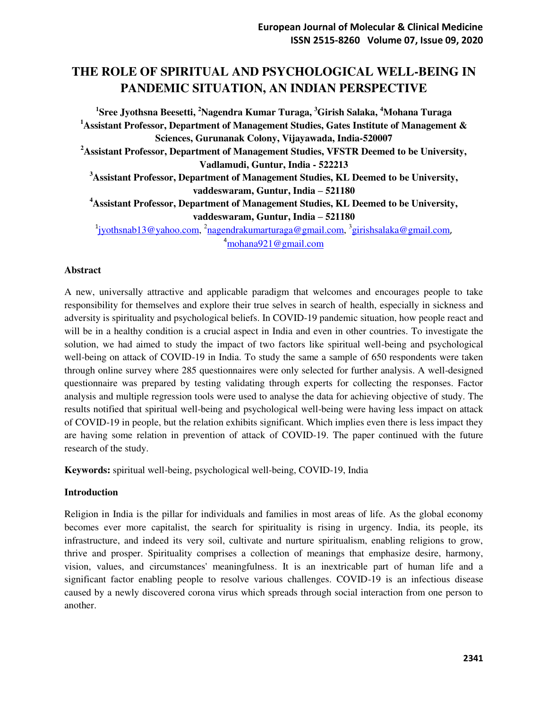# **THE ROLE OF SPIRITUAL AND PSYCHOLOGICAL WELL-BEING IN PANDEMIC SITUATION, AN INDIAN PERSPECTIVE**

**1 Sree Jyothsna Beesetti, <sup>2</sup>Nagendra Kumar Turaga, <sup>3</sup>Girish Salaka, <sup>4</sup>Mohana Turaga <sup>1</sup>Assistant Professor, Department of Management Studies, Gates Institute of Management & Sciences, Gurunanak Colony, Vijayawada, India-520007 <sup>2</sup>Assistant Professor, Department of Management Studies, VFSTR Deemed to be University, Vadlamudi, Guntur, India - 522213 <sup>3</sup>Assistant Professor, Department of Management Studies, KL Deemed to be University, vaddeswaram, Guntur, India – 521180 <sup>4</sup>Assistant Professor, Department of Management Studies, KL Deemed to be University, vaddeswaram, Guntur, India – 521180**  <sup>1</sup>[jyothsnab13@yahoo.com,](mailto:jyothsnab13@yahoo.com) <sup>2</sup>[nagendrakumarturaga@gmail.com,](mailto:nagendrakumarturaga@gmail.com) <sup>3</sup>[girishsalaka@gmail.com](mailto:girishsalaka@gmail.com),

<sup>4</sup>[mohana921@gmail.com](mailto:mohana921@gmail.com) 

#### **Abstract**

A new, universally attractive and applicable paradigm that welcomes and encourages people to take responsibility for themselves and explore their true selves in search of health, especially in sickness and adversity is spirituality and psychological beliefs. In COVID-19 pandemic situation, how people react and will be in a healthy condition is a crucial aspect in India and even in other countries. To investigate the solution, we had aimed to study the impact of two factors like spiritual well-being and psychological well-being on attack of COVID-19 in India. To study the same a sample of 650 respondents were taken through online survey where 285 questionnaires were only selected for further analysis. A well-designed questionnaire was prepared by testing validating through experts for collecting the responses. Factor analysis and multiple regression tools were used to analyse the data for achieving objective of study. The results notified that spiritual well-being and psychological well-being were having less impact on attack of COVID-19 in people, but the relation exhibits significant. Which implies even there is less impact they are having some relation in prevention of attack of COVID-19. The paper continued with the future research of the study.

**Keywords:** spiritual well-being, psychological well-being, COVID-19, India

#### **Introduction**

Religion in India is the pillar for individuals and families in most areas of life. As the global economy becomes ever more capitalist, the search for spirituality is rising in urgency. India, its people, its infrastructure, and indeed its very soil, cultivate and nurture spiritualism, enabling religions to grow, thrive and prosper. Spirituality comprises a collection of meanings that emphasize desire, harmony, vision, values, and circumstances' meaningfulness. It is an inextricable part of human life and a significant factor enabling people to resolve various challenges. COVID-19 is an infectious disease caused by a newly discovered corona virus which spreads through social interaction from one person to another.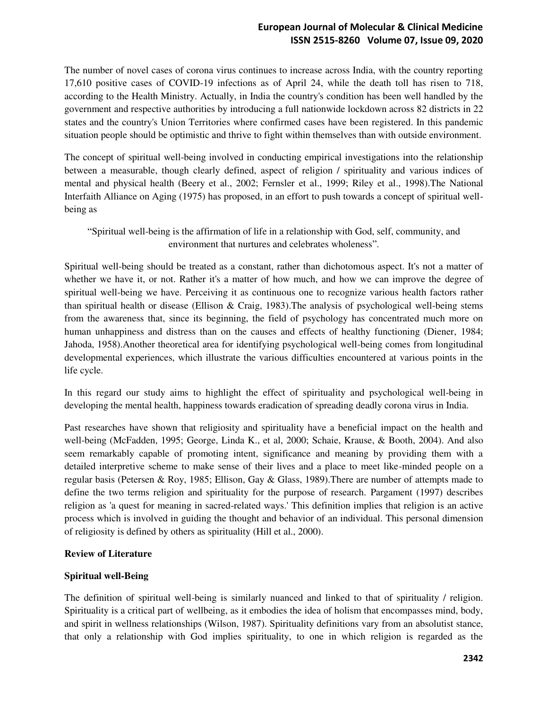# **European Journal of Molecular & Clinical Medicine ISSN 2515-8260 Volume 07, Issue 09, 2020**

The number of novel cases of corona virus continues to increase across India, with the country reporting 17,610 positive cases of COVID-19 infections as of April 24, while the death toll has risen to 718, according to the Health Ministry. Actually, in India the country's condition has been well handled by the government and respective authorities by introducing a full nationwide lockdown across 82 districts in 22 states and the country's Union Territories where confirmed cases have been registered. In this pandemic situation people should be optimistic and thrive to fight within themselves than with outside environment.

The concept of spiritual well-being involved in conducting empirical investigations into the relationship between a measurable, though clearly defined, aspect of religion / spirituality and various indices of mental and physical health (Beery et al., 2002; Fernsler et al., 1999; Riley et al., 1998).The National Interfaith Alliance on Aging (1975) has proposed, in an effort to push towards a concept of spiritual wellbeing as

"Spiritual well-being is the affirmation of life in a relationship with God, self, community, and environment that nurtures and celebrates wholeness".

Spiritual well-being should be treated as a constant, rather than dichotomous aspect. It's not a matter of whether we have it, or not. Rather it's a matter of how much, and how we can improve the degree of spiritual well-being we have. Perceiving it as continuous one to recognize various health factors rather than spiritual health or disease (Ellison & Craig, 1983).The analysis of psychological well-being stems from the awareness that, since its beginning, the field of psychology has concentrated much more on human unhappiness and distress than on the causes and effects of healthy functioning (Diener, 1984; Jahoda, 1958).Another theoretical area for identifying psychological well-being comes from longitudinal developmental experiences, which illustrate the various difficulties encountered at various points in the life cycle.

In this regard our study aims to highlight the effect of spirituality and psychological well-being in developing the mental health, happiness towards eradication of spreading deadly corona virus in India.

Past researches have shown that religiosity and spirituality have a beneficial impact on the health and well-being (McFadden, 1995; George, Linda K., et al, 2000; Schaie, Krause, & Booth, 2004). And also seem remarkably capable of promoting intent, significance and meaning by providing them with a detailed interpretive scheme to make sense of their lives and a place to meet like-minded people on a regular basis (Petersen & Roy, 1985; Ellison, Gay & Glass, 1989).There are number of attempts made to define the two terms religion and spirituality for the purpose of research. Pargament (1997) describes religion as 'a quest for meaning in sacred-related ways.' This definition implies that religion is an active process which is involved in guiding the thought and behavior of an individual. This personal dimension of religiosity is defined by others as spirituality (Hill et al., 2000).

## **Review of Literature**

## **Spiritual well-Being**

The definition of spiritual well-being is similarly nuanced and linked to that of spirituality / religion. Spirituality is a critical part of wellbeing, as it embodies the idea of holism that encompasses mind, body, and spirit in wellness relationships (Wilson, 1987). Spirituality definitions vary from an absolutist stance, that only a relationship with God implies spirituality, to one in which religion is regarded as the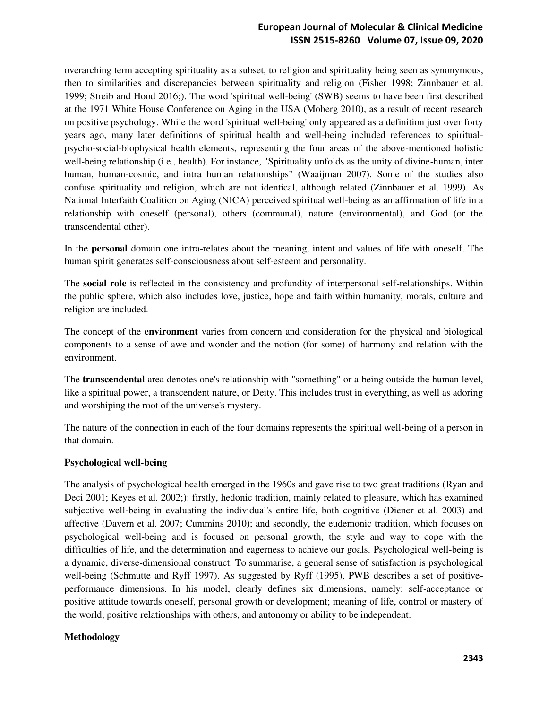# **European Journal of Molecular & Clinical Medicine ISSN 2515-8260 Volume 07, Issue 09, 2020**

overarching term accepting spirituality as a subset, to religion and spirituality being seen as synonymous, then to similarities and discrepancies between spirituality and religion (Fisher 1998; Zinnbauer et al. 1999; Streib and Hood 2016;). The word 'spiritual well-being' (SWB) seems to have been first described at the 1971 White House Conference on Aging in the USA (Moberg 2010), as a result of recent research on positive psychology. While the word 'spiritual well-being' only appeared as a definition just over forty years ago, many later definitions of spiritual health and well-being included references to spiritualpsycho-social-biophysical health elements, representing the four areas of the above-mentioned holistic well-being relationship (i.e., health). For instance, "Spirituality unfolds as the unity of divine-human, inter human, human-cosmic, and intra human relationships" (Waaijman 2007). Some of the studies also confuse spirituality and religion, which are not identical, although related (Zinnbauer et al. 1999). As National Interfaith Coalition on Aging (NICA) perceived spiritual well-being as an affirmation of life in a relationship with oneself (personal), others (communal), nature (environmental), and God (or the transcendental other).

In the **personal** domain one intra-relates about the meaning, intent and values of life with oneself. The human spirit generates self-consciousness about self-esteem and personality.

The **social role** is reflected in the consistency and profundity of interpersonal self-relationships. Within the public sphere, which also includes love, justice, hope and faith within humanity, morals, culture and religion are included.

The concept of the **environment** varies from concern and consideration for the physical and biological components to a sense of awe and wonder and the notion (for some) of harmony and relation with the environment.

The **transcendental** area denotes one's relationship with "something" or a being outside the human level, like a spiritual power, a transcendent nature, or Deity. This includes trust in everything, as well as adoring and worshiping the root of the universe's mystery.

The nature of the connection in each of the four domains represents the spiritual well-being of a person in that domain.

#### **Psychological well-being**

The analysis of psychological health emerged in the 1960s and gave rise to two great traditions (Ryan and Deci 2001; Keyes et al. 2002;): firstly, hedonic tradition, mainly related to pleasure, which has examined subjective well-being in evaluating the individual's entire life, both cognitive (Diener et al. 2003) and affective (Davern et al. 2007; Cummins 2010); and secondly, the eudemonic tradition, which focuses on psychological well-being and is focused on personal growth, the style and way to cope with the difficulties of life, and the determination and eagerness to achieve our goals. Psychological well-being is a dynamic, diverse-dimensional construct. To summarise, a general sense of satisfaction is psychological well-being (Schmutte and Ryff 1997). As suggested by Ryff (1995), PWB describes a set of positiveperformance dimensions. In his model, clearly defines six dimensions, namely: self-acceptance or positive attitude towards oneself, personal growth or development; meaning of life, control or mastery of the world, positive relationships with others, and autonomy or ability to be independent.

#### **Methodology**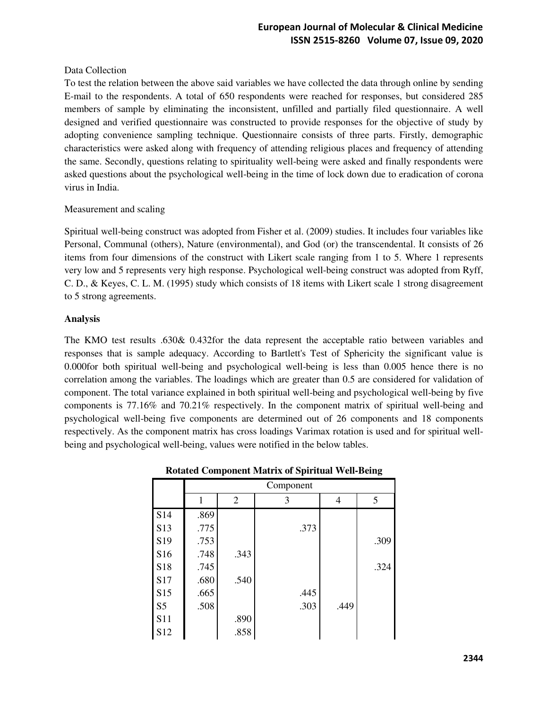## Data Collection

To test the relation between the above said variables we have collected the data through online by sending E-mail to the respondents. A total of 650 respondents were reached for responses, but considered 285 members of sample by eliminating the inconsistent, unfilled and partially filed questionnaire. A well designed and verified questionnaire was constructed to provide responses for the objective of study by adopting convenience sampling technique. Questionnaire consists of three parts. Firstly, demographic characteristics were asked along with frequency of attending religious places and frequency of attending the same. Secondly, questions relating to spirituality well-being were asked and finally respondents were asked questions about the psychological well-being in the time of lock down due to eradication of corona virus in India.

## Measurement and scaling

Spiritual well-being construct was adopted from Fisher et al. (2009) studies. It includes four variables like Personal, Communal (others), Nature (environmental), and God (or) the transcendental. It consists of 26 items from four dimensions of the construct with Likert scale ranging from 1 to 5. Where 1 represents very low and 5 represents very high response. Psychological well-being construct was adopted from Ryff, C. D., & Keyes, C. L. M. (1995) study which consists of 18 items with Likert scale 1 strong disagreement to 5 strong agreements.

#### **Analysis**

The KMO test results .630& 0.432for the data represent the acceptable ratio between variables and responses that is sample adequacy. According to Bartlett's Test of Sphericity the significant value is 0.000for both spiritual well-being and psychological well-being is less than 0.005 hence there is no correlation among the variables. The loadings which are greater than 0.5 are considered for validation of component. The total variance explained in both spiritual well-being and psychological well-being by five components is 77.16% and 70.21% respectively. In the component matrix of spiritual well-being and psychological well-being five components are determined out of 26 components and 18 components respectively. As the component matrix has cross loadings Varimax rotation is used and for spiritual wellbeing and psychological well-being, values were notified in the below tables.

|                 | Component |                |      |      |      |  |  |  |
|-----------------|-----------|----------------|------|------|------|--|--|--|
|                 | 1         | $\overline{2}$ | 3    | 4    | 5    |  |  |  |
| S <sub>14</sub> | .869      |                |      |      |      |  |  |  |
| S <sub>13</sub> | .775      |                | .373 |      |      |  |  |  |
| S19             | .753      |                |      |      | .309 |  |  |  |
| S <sub>16</sub> | .748      | .343           |      |      |      |  |  |  |
| S <sub>18</sub> | .745      |                |      |      | .324 |  |  |  |
| S17             | .680      | .540           |      |      |      |  |  |  |
| S15             | .665      |                | .445 |      |      |  |  |  |
| S <sub>5</sub>  | .508      |                | .303 | .449 |      |  |  |  |
| <b>S11</b>      |           | .890           |      |      |      |  |  |  |
| S12             |           | .858           |      |      |      |  |  |  |

## **Rotated Component Matrix of Spiritual Well-Being**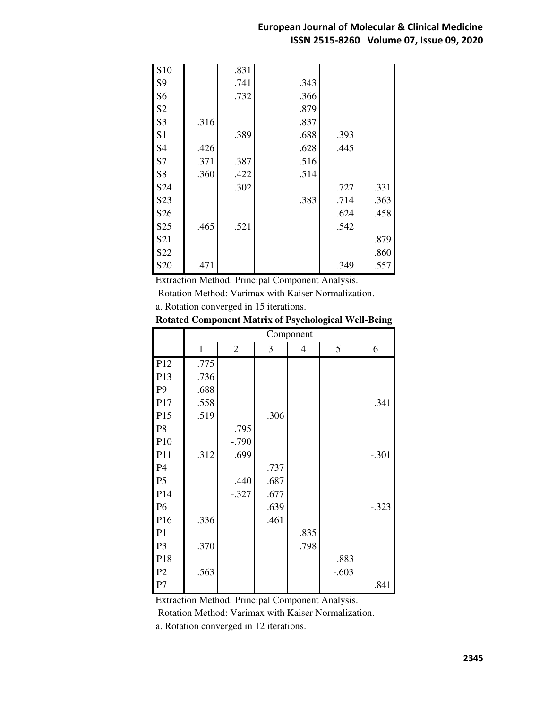| S <sub>10</sub>  |      | .831 |      |      |      |
|------------------|------|------|------|------|------|
| S <sub>9</sub>   |      | .741 | .343 |      |      |
| S <sub>6</sub>   |      | .732 | .366 |      |      |
| S <sub>2</sub>   |      |      | .879 |      |      |
| S <sub>3</sub>   | .316 |      | .837 |      |      |
| S <sub>1</sub>   |      | .389 | .688 | .393 |      |
| S <sub>4</sub>   | .426 |      | .628 | .445 |      |
| S7               | .371 | .387 | .516 |      |      |
| S8               | .360 | .422 | .514 |      |      |
| S24              |      | .302 |      | .727 | .331 |
| S <sub>2</sub> 3 |      |      | .383 | .714 | .363 |
| S26              |      |      |      | .624 | .458 |
| S <sub>25</sub>  | .465 | .521 |      | .542 |      |
| S <sub>21</sub>  |      |      |      |      | .879 |
| S22              |      |      |      |      | .860 |
| S <sub>20</sub>  | .471 |      |      | .349 | .557 |

Extraction Method: Principal Component Analysis.

Rotation Method: Varimax with Kaiser Normalization.

a. Rotation converged in 15 iterations.

|                 |              | Component      |      |      |         |         |  |  |
|-----------------|--------------|----------------|------|------|---------|---------|--|--|
|                 | $\mathbf{1}$ | $\overline{2}$ | 3    | 4    | 5       | 6       |  |  |
| P12             | .775         |                |      |      |         |         |  |  |
| P13             | .736         |                |      |      |         |         |  |  |
| P <sub>9</sub>  | .688         |                |      |      |         |         |  |  |
| P17             | .558         |                |      |      |         | .341    |  |  |
| P15             | .519         |                | .306 |      |         |         |  |  |
| P <sub>8</sub>  |              | .795           |      |      |         |         |  |  |
| P10             |              | $-0.790$       |      |      |         |         |  |  |
| P11             | .312         | .699           |      |      |         | $-.301$ |  |  |
| P4              |              |                | .737 |      |         |         |  |  |
| P <sub>5</sub>  |              | .440           | .687 |      |         |         |  |  |
| P14             |              | $-.327$        | .677 |      |         |         |  |  |
| <b>P6</b>       |              |                | .639 |      |         | $-.323$ |  |  |
| P <sub>16</sub> | .336         |                | .461 |      |         |         |  |  |
| P <sub>1</sub>  |              |                |      | .835 |         |         |  |  |
| P <sub>3</sub>  | .370         |                |      | .798 |         |         |  |  |
| P18             |              |                |      |      | .883    |         |  |  |
| P <sub>2</sub>  | .563         |                |      |      | $-.603$ |         |  |  |
| P7              |              |                |      |      |         | .841    |  |  |

|  |  | <b>Rotated Component Matrix of Psychological Well-Being</b> |
|--|--|-------------------------------------------------------------|
|  |  |                                                             |

Extraction Method: Principal Component Analysis.

Rotation Method: Varimax with Kaiser Normalization.

a. Rotation converged in 12 iterations.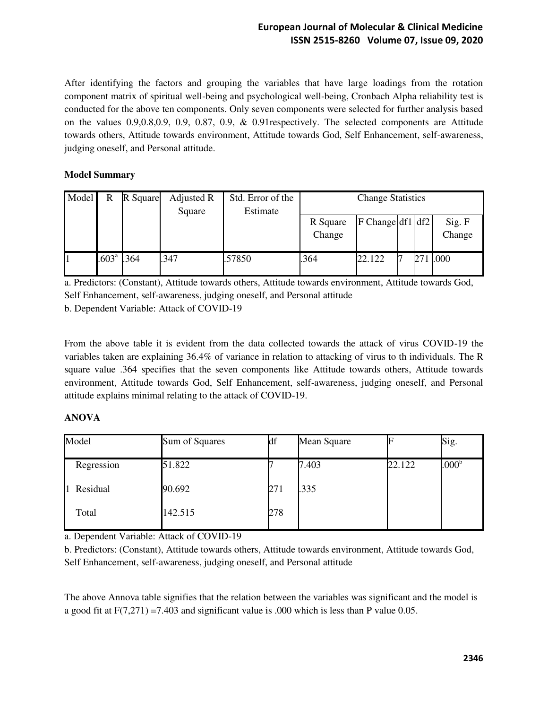After identifying the factors and grouping the variables that have large loadings from the rotation component matrix of spiritual well-being and psychological well-being, Cronbach Alpha reliability test is conducted for the above ten components. Only seven components were selected for further analysis based on the values 0.9,0.8,0.9, 0.9, 0.87, 0.9, & 0.91respectively. The selected components are Attitude towards others, Attitude towards environment, Attitude towards God, Self Enhancement, self-awareness, judging oneself, and Personal attitude.

# **Model Summary**

| Model | R                 | R Square | Adjusted R<br>Square | Std. Error of the<br>Estimate | <b>Change Statistics</b> |                      |  |  |                  |
|-------|-------------------|----------|----------------------|-------------------------------|--------------------------|----------------------|--|--|------------------|
|       |                   |          |                      |                               | R Square<br>Change       | $ F $ Change df1 df2 |  |  | Sig. F<br>Change |
|       | .603 <sup>a</sup> | .364     | .347                 | .57850                        | 364                      | 22.122               |  |  | .000             |

a. Predictors: (Constant), Attitude towards others, Attitude towards environment, Attitude towards God, Self Enhancement, self-awareness, judging oneself, and Personal attitude b. Dependent Variable: Attack of COVID-19

From the above table it is evident from the data collected towards the attack of virus COVID-19 the variables taken are explaining 36.4% of variance in relation to attacking of virus to th individuals. The R square value .364 specifies that the seven components like Attitude towards others, Attitude towards environment, Attitude towards God, Self Enhancement, self-awareness, judging oneself, and Personal attitude explains minimal relating to the attack of COVID-19.

## **ANOVA**

| Model      | Sum of Squares | df  | Mean Square |        | Sig.              |
|------------|----------------|-----|-------------|--------|-------------------|
| Regression | 51.822         |     | 7.403       | 22.122 | .000 <sup>b</sup> |
| 1 Residual | 90.692         | 271 | .335        |        |                   |
| Total      | 142.515        | 278 |             |        |                   |

a. Dependent Variable: Attack of COVID-19

b. Predictors: (Constant), Attitude towards others, Attitude towards environment, Attitude towards God, Self Enhancement, self-awareness, judging oneself, and Personal attitude

The above Annova table signifies that the relation between the variables was significant and the model is a good fit at  $F(7,271) = 7.403$  and significant value is .000 which is less than P value 0.05.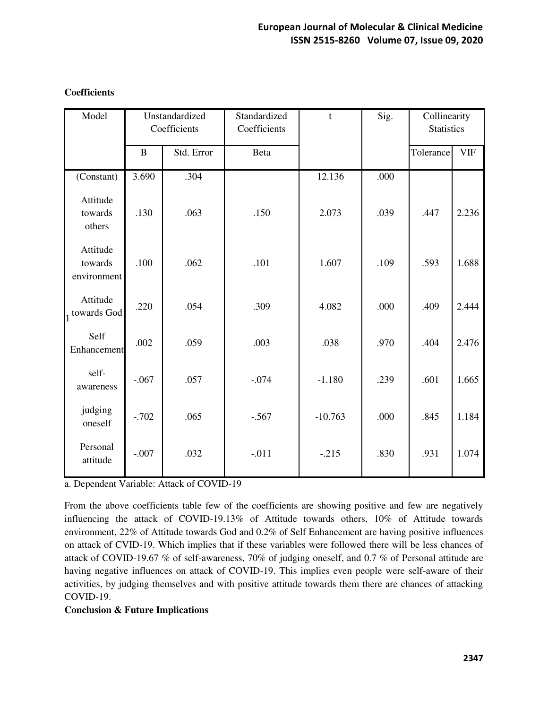| Model                              | Unstandardized<br>Coefficients |            | Standardized<br>Coefficients | t         | Sig. | Collinearity<br><b>Statistics</b> |            |
|------------------------------------|--------------------------------|------------|------------------------------|-----------|------|-----------------------------------|------------|
|                                    | $\bf{B}$                       | Std. Error | Beta                         |           |      | Tolerance                         | <b>VIF</b> |
| (Constant)                         | 3.690                          | .304       |                              | 12.136    | .000 |                                   |            |
| Attitude<br>towards<br>others      | .130                           | .063       | .150                         | 2.073     | .039 | .447                              | 2.236      |
| Attitude<br>towards<br>environment | .100                           | .062       | .101                         | 1.607     | .109 | .593                              | 1.688      |
| Attitude<br>1 towards God          | .220                           | .054       | .309                         | 4.082     | .000 | .409                              | 2.444      |
| Self<br>Enhancement                | .002                           | .059       | .003                         | .038      | .970 | .404                              | 2.476      |
| self-<br>awareness                 | $-.067$                        | .057       | $-.074$                      | $-1.180$  | .239 | .601                              | 1.665      |
| judging<br>oneself                 | $-.702$                        | .065       | $-.567$                      | $-10.763$ | .000 | .845                              | 1.184      |
| Personal<br>attitude               | $-.007$                        | .032       | $-.011$                      | $-.215$   | .830 | .931                              | 1.074      |

## **Coefficients**

a. Dependent Variable: Attack of COVID-19

From the above coefficients table few of the coefficients are showing positive and few are negatively influencing the attack of COVID-19.13% of Attitude towards others, 10% of Attitude towards environment, 22% of Attitude towards God and 0.2% of Self Enhancement are having positive influences on attack of CVID-19. Which implies that if these variables were followed there will be less chances of attack of COVID-19.67 % of self-awareness, 70% of judging oneself, and 0.7 % of Personal attitude are having negative influences on attack of COVID-19. This implies even people were self-aware of their activities, by judging themselves and with positive attitude towards them there are chances of attacking COVID-19.

## **Conclusion & Future Implications**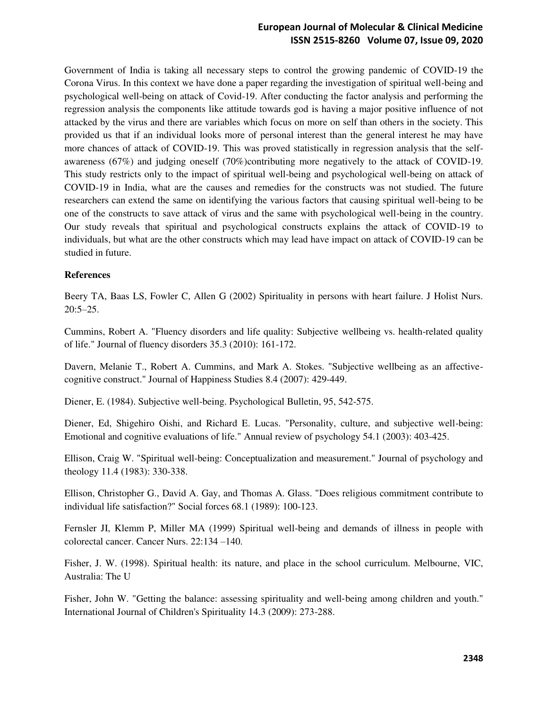## **European Journal of Molecular & Clinical Medicine ISSN 2515-8260 Volume 07, Issue 09, 2020**

Government of India is taking all necessary steps to control the growing pandemic of COVID-19 the Corona Virus. In this context we have done a paper regarding the investigation of spiritual well-being and psychological well-being on attack of Covid-19. After conducting the factor analysis and performing the regression analysis the components like attitude towards god is having a major positive influence of not attacked by the virus and there are variables which focus on more on self than others in the society. This provided us that if an individual looks more of personal interest than the general interest he may have more chances of attack of COVID-19. This was proved statistically in regression analysis that the selfawareness (67%) and judging oneself (70%)contributing more negatively to the attack of COVID-19. This study restricts only to the impact of spiritual well-being and psychological well-being on attack of COVID-19 in India, what are the causes and remedies for the constructs was not studied. The future researchers can extend the same on identifying the various factors that causing spiritual well-being to be one of the constructs to save attack of virus and the same with psychological well-being in the country. Our study reveals that spiritual and psychological constructs explains the attack of COVID-19 to individuals, but what are the other constructs which may lead have impact on attack of COVID-19 can be studied in future.

#### **References**

Beery TA, Baas LS, Fowler C, Allen G (2002) Spirituality in persons with heart failure. J Holist Nurs. 20:5–25.

Cummins, Robert A. "Fluency disorders and life quality: Subjective wellbeing vs. health-related quality of life." Journal of fluency disorders 35.3 (2010): 161-172.

Davern, Melanie T., Robert A. Cummins, and Mark A. Stokes. "Subjective wellbeing as an affectivecognitive construct." Journal of Happiness Studies 8.4 (2007): 429-449.

Diener, E. (1984). Subjective well-being. Psychological Bulletin, 95, 542-575.

Diener, Ed, Shigehiro Oishi, and Richard E. Lucas. "Personality, culture, and subjective well-being: Emotional and cognitive evaluations of life." Annual review of psychology 54.1 (2003): 403-425.

Ellison, Craig W. "Spiritual well-being: Conceptualization and measurement." Journal of psychology and theology 11.4 (1983): 330-338.

Ellison, Christopher G., David A. Gay, and Thomas A. Glass. "Does religious commitment contribute to individual life satisfaction?" Social forces 68.1 (1989): 100-123.

Fernsler JI, Klemm P, Miller MA (1999) Spiritual well-being and demands of illness in people with colorectal cancer. Cancer Nurs. 22:134 –140.

Fisher, J. W. (1998). Spiritual health: its nature, and place in the school curriculum. Melbourne, VIC, Australia: The U

Fisher, John W. "Getting the balance: assessing spirituality and well-being among children and youth." International Journal of Children's Spirituality 14.3 (2009): 273-288.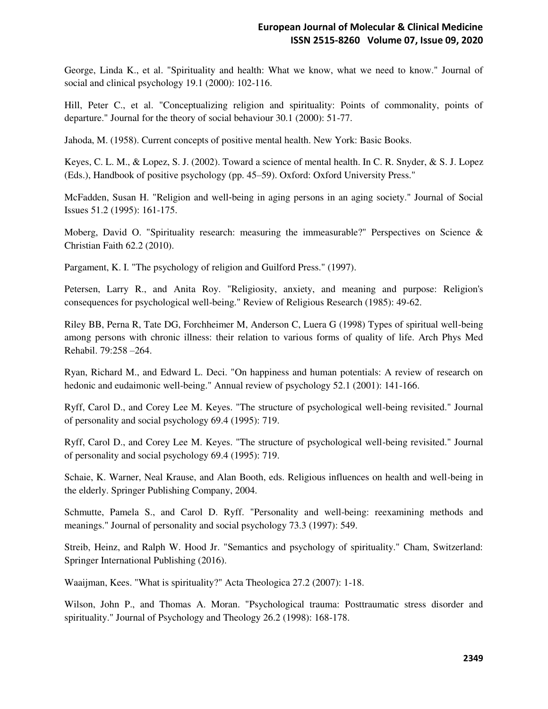George, Linda K., et al. "Spirituality and health: What we know, what we need to know." Journal of social and clinical psychology 19.1 (2000): 102-116.

Hill, Peter C., et al. "Conceptualizing religion and spirituality: Points of commonality, points of departure." Journal for the theory of social behaviour 30.1 (2000): 51-77.

Jahoda, M. (1958). Current concepts of positive mental health. New York: Basic Books.

Keyes, C. L. M., & Lopez, S. J. (2002). Toward a science of mental health. In C. R. Snyder, & S. J. Lopez (Eds.), Handbook of positive psychology (pp. 45–59). Oxford: Oxford University Press."

McFadden, Susan H. "Religion and well‐being in aging persons in an aging society." Journal of Social Issues 51.2 (1995): 161-175.

Moberg, David O. "Spirituality research: measuring the immeasurable?" Perspectives on Science & Christian Faith 62.2 (2010).

Pargament, K. I. "The psychology of religion and Guilford Press." (1997).

Petersen, Larry R., and Anita Roy. "Religiosity, anxiety, and meaning and purpose: Religion's consequences for psychological well-being." Review of Religious Research (1985): 49-62.

Riley BB, Perna R, Tate DG, Forchheimer M, Anderson C, Luera G (1998) Types of spiritual well-being among persons with chronic illness: their relation to various forms of quality of life. Arch Phys Med Rehabil. 79:258 –264.

Ryan, Richard M., and Edward L. Deci. "On happiness and human potentials: A review of research on hedonic and eudaimonic well-being." Annual review of psychology 52.1 (2001): 141-166.

Ryff, Carol D., and Corey Lee M. Keyes. "The structure of psychological well-being revisited." Journal of personality and social psychology 69.4 (1995): 719.

Ryff, Carol D., and Corey Lee M. Keyes. "The structure of psychological well-being revisited." Journal of personality and social psychology 69.4 (1995): 719.

Schaie, K. Warner, Neal Krause, and Alan Booth, eds. Religious influences on health and well-being in the elderly. Springer Publishing Company, 2004.

Schmutte, Pamela S., and Carol D. Ryff. "Personality and well-being: reexamining methods and meanings." Journal of personality and social psychology 73.3 (1997): 549.

Streib, Heinz, and Ralph W. Hood Jr. "Semantics and psychology of spirituality." Cham, Switzerland: Springer International Publishing (2016).

Waaijman, Kees. "What is spirituality?" Acta Theologica 27.2 (2007): 1-18.

Wilson, John P., and Thomas A. Moran. "Psychological trauma: Posttraumatic stress disorder and spirituality." Journal of Psychology and Theology 26.2 (1998): 168-178.